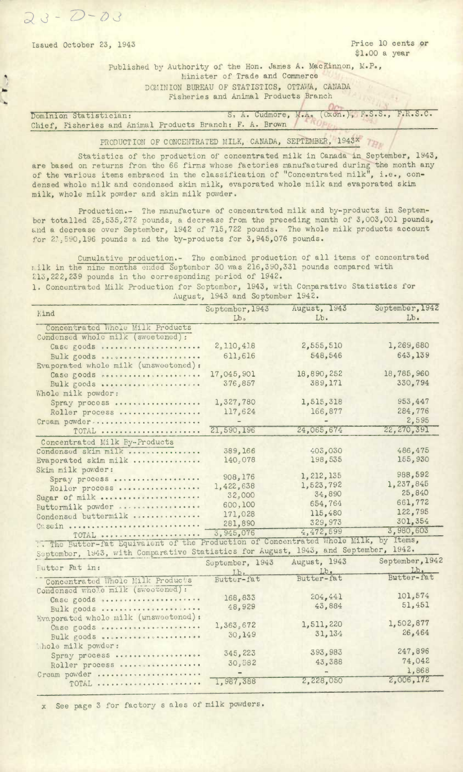$\frac{1}{2}$ 

Issued October 23, 1943 **Price 10 cents or** \$1.00 a year

> Published by Authority of the Hon. James A. MacKinnon, M.P., Minister of Trade and Commerce DOMINION BUREAU OF STATISTICS, OTTAVIA, CANADA Fisheries and Animal Products Branch

Dominion Statistician: **S. A. Cudmore, M.A. (Oxôn.), F.S.S., F.R.S.C.** Chief, Fisheries and Animal Products Branch: F. A. Brown

> PRODUCTION OF CONCENTRATED MILK, CANADA, SEPTEMBER, 1943X  $T_{Hv}$

Statistics of the production of concentrated milk in Canada in September, 1943, are based on returns from the 66 firms whose factories manufactured during the month any of the various items embraced in the classification of "Concentrated milk", i.e., condensed whole milk and condensed skim milk, evaporated whole milk and evaporated skim milk, whole milk powder and skim milk powder.

Production.- The manufacture of concentrated milk and by-products in September totalled 25,535,272 pounds, a decrease from the preceding month of 3,003,001 pounds, and a decrease over September, 1942 of 715,722 pounds. The whole milk products account for 21,590,196 pounds a nd the by-products for 3,945,076 pounds.

Cumulative production.- The combined production of all items of concentrated r ilk in the nine months ended September 30 was 216,390,331 pounds compared with 213, 222, 239 pounds in the corresponding period of 1942.

1. Concentrated Milk Production for September, 1943, with Comparative Statistics for August, 1943 and September 1942.

| Kind                                                                                | September, 1943   | August, 1943 | September, 1942                                   |
|-------------------------------------------------------------------------------------|-------------------|--------------|---------------------------------------------------|
|                                                                                     | Lb <sub>o</sub>   | $Lb$ .       | $\mathbf{L}$ <sub><math>\mathbf{b}</math></sub> . |
| Concentrated Whole Milk Products                                                    |                   |              |                                                   |
| Condensed whole milk (sweetened):                                                   |                   |              |                                                   |
| Case goods                                                                          | 2,110,418         | 2,555,510    | 1,269,680                                         |
| Bulk goods                                                                          | 611,616           | 548,546      | 643,139                                           |
| Evaporated whole milk (unsweetened):                                                |                   |              |                                                   |
| Case goods                                                                          | 17,045,901        | 18,890,252   | 18,785,960                                        |
| Bulk goods                                                                          | 376,857           | 389,171      | 330,794                                           |
| Whole milk powder:                                                                  |                   |              |                                                   |
| Spray process                                                                       | 1,327,780         | 1,515,318    | 953,447                                           |
| Roller process                                                                      | 117,624           | 166,877      | 284,776                                           |
| Cream powder                                                                        |                   |              | 2,595                                             |
| TOTAL                                                                               | 21,590,196        | 24,065,674   | 22,270,391                                        |
| Concentrated Milk By-Products                                                       |                   |              |                                                   |
| Condensed skim milk                                                                 | 389,166           | 403,030      | 486,475                                           |
| Evaporated skim milk                                                                | 140,078           | 198,535      | 155,930                                           |
| Skim milk powder:                                                                   |                   |              |                                                   |
| Spray process                                                                       | 908,176           | 1, 212, 135  | 988,592                                           |
| Roller process                                                                      | 1,422,638         | 1,523,792    | 1,237,845                                         |
| Sugar of milk                                                                       | 32,000            | 34,890       | 25,840                                            |
| Buttermilk powder                                                                   | 600,100           | 654,764      | 661,772                                           |
| Condensed buttermilk                                                                | 171,028           | 115,480      | 122,795                                           |
| Casein                                                                              | 281,890           | 329,973      | 301,354                                           |
| TOTAL                                                                               | 3,945,076         | 4,472,599    | 3,980,603                                         |
| The Butter-fat Equivalent of the Production of Concentrated Whole Milk,             |                   |              | by Items,                                         |
| September, 1943, with Comparative Statistics for August, 1943, and September, 1942. |                   |              |                                                   |
|                                                                                     | September, 1943   | August, 1943 | September, 1942                                   |
| <b>Futter Pat in:</b>                                                               | $Lb$ <sub>c</sub> | $Lb$ .       | Lb.                                               |
| Concentrated Whole Milk Product's                                                   | Butter-fat        | Butter-fat   | Butter-fat                                        |
| Condensed whole milk (sweetened) :                                                  |                   |              |                                                   |
| Case goods                                                                          | 168,833           | 204, 441     | 101,574                                           |
| Bulk goods                                                                          | 48,929            | 43,884       | 51,451                                            |
| Evaporated whole milk (unsweetened):                                                |                   |              |                                                   |
| Case goods                                                                          | 1,363,672         | 1,511,220    | 1,502,877                                         |
| Bulk goods                                                                          | 30,149            | 31,134       | 26,464                                            |
| Thole milk powder:                                                                  |                   |              |                                                   |
| Spray process                                                                       | 345,223           | 393,983      | 247,896                                           |
| Roller process                                                                      | 30,882            | 43,388       | 74,042                                            |
| Cream powder                                                                        |                   |              | 1,868                                             |
| TOTAL                                                                               | 1,987,388         | 2,228,050    | 2,006,172                                         |
|                                                                                     |                   |              |                                                   |

x See page 3 for factory s ales of milk powders.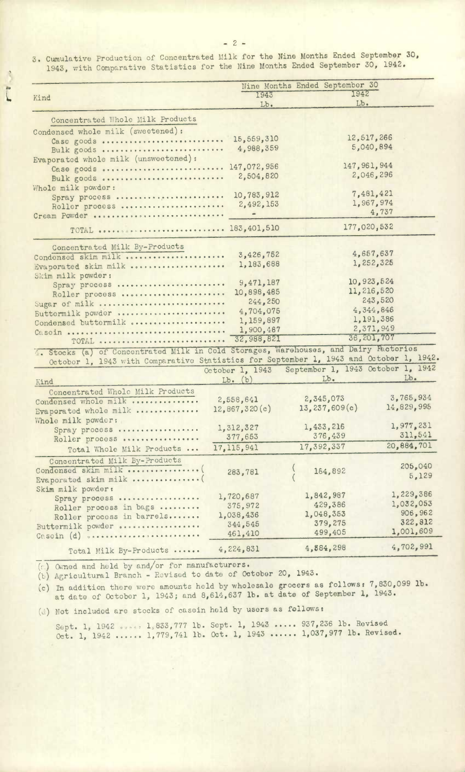3. Cumulative Production of Concentrated Milk for the Nine Months Ended September 30, 1943, with Comparative Statistics for the Nine Months Ended September 30, 1942.

|                                                                                        |                         | Nine Months Ended September 30    |                        |
|----------------------------------------------------------------------------------------|-------------------------|-----------------------------------|------------------------|
| Kind                                                                                   | 1943                    | 1942                              |                        |
|                                                                                        | Lb.                     | Lb.                               |                        |
| Concentrated Whole Milk Products                                                       |                         |                                   |                        |
| Condensed whole milk (sweetened):                                                      |                         |                                   |                        |
| Case goods                                                                             | 15,559,310              | 12,517,266                        |                        |
| Bulk goods                                                                             | 4,988,359               |                                   | 5,040,894              |
| Evaporated whole milk (unsweetened):                                                   |                         |                                   |                        |
| Case goods  147,072,956                                                                |                         | 147, 961, 944                     |                        |
| Bulk goods                                                                             | 2,504,820               |                                   | 2,046,296              |
| Whole milk powder:                                                                     |                         |                                   |                        |
| Spray process                                                                          | 10,783,912              |                                   | 7,481,421              |
| Roller process                                                                         | 2,492,153               |                                   | 1,967,974              |
| Cream Powder                                                                           |                         |                                   | 4,737                  |
| TOTAL   183,401,510                                                                    |                         | 177,020,532                       |                        |
| Concentrated Milk By-Products                                                          |                         |                                   |                        |
| Condensed skim milk                                                                    | 3,426,752               |                                   | 4,657,637              |
| Evaporated skim milk                                                                   | 1,183,688               |                                   | 1,252,325              |
| Skim milk powder:                                                                      |                         |                                   |                        |
| Spray process                                                                          | 9,471,187               | 10,923,524                        |                        |
| Roller process                                                                         | 10,898,485              | 11, 216, 520                      |                        |
| Sugar of milk                                                                          | 244,250                 |                                   | 243,520                |
| Buttermilk powder                                                                      | 4,704,075               |                                   | 4,344,846              |
| Condensed buttermilk                                                                   | 1,159,897               |                                   | 1,191,386<br>2,371,949 |
|                                                                                        | 1,900,487<br>32,988,821 |                                   | 36,201,707             |
| TOTAL                                                                                  |                         |                                   |                        |
| 4. Stocks (a) of Concentrated Milk in Cold Storages, Warehouses, and Dairy Factories   |                         |                                   |                        |
| October 1, 1943 with Comparative Statistics for September 1, 1943 and October 1, 1942. |                         | September 1, 1943 October 1, 1942 |                        |
|                                                                                        | October 1, 1943         | $Lb$ .                            | $Lb$ .                 |
| Kind                                                                                   | $Lb.$ $(b)$             |                                   |                        |
| Concentrated Whole Milk Products                                                       |                         | 2,345,073                         | 3,765,934              |
| Condensed whole milk                                                                   | 2,558,641               | 13,237,609(c)                     | 14,829,995             |
| Evaporated whole milk                                                                  | 12,867,320(c)           |                                   |                        |
| Whole milk powder:                                                                     | 1,312,327               | 1,433,216                         | 1,977,231              |
| Spray process                                                                          | 377,653                 | 376,439                           | 311,541                |
| Roller process                                                                         | 17, 115, 941            | 17,392,337                        | 20.884,701             |
| Total Whole Milk Products                                                              |                         |                                   |                        |
| Concentrated Milk By-Products                                                          |                         |                                   | 205,040                |
| Condensed skim milk                                                                    | 283,781                 | 184,892                           | 5,129                  |
| Evaporated skim milk                                                                   |                         |                                   |                        |
| Skim milk powder:                                                                      | 1,720,687               | 1,842,987                         | 1,229,386              |
| Spray process                                                                          | 375,972                 | 429,386                           | 1,032,053              |
| Roller process in bags                                                                 | 1,038,436               | 1,048,353                         | 906,962                |
| Roller process in barrels                                                              | 344,545                 | 379,275                           | 322,812                |
| Buttermilk powder<br>Casein (d) varcorrected contractors                               | 461,410                 | 499,405                           | 1,001,609              |
|                                                                                        |                         | 4,884,298                         | 4,702,991              |
| Total Milk By-Products                                                                 | 4,224,831               |                                   |                        |

 $(c)$  Owned and held by and/or for manufacturers.

(b) Agricultural Branch - Revised to date of October 20, 1943.

In addition there were amounts held by wholesale grocers as followst 7,830,099 **lb.**  at date of Octobor 1, 1943; and 8,614,637 lb. at date of September 1, 1943.

(d) Not included are stocks of casein held by users as follows:

Sept. 1, 1942 ..... 1,833,777 lb. Sept. 1, 1943 ..... 937,236 lb. Revised Oct. 1, 1942 ...... 1,779,741 lb. Oct. 1, 1943 ...... 1,037,977 lb. Revised.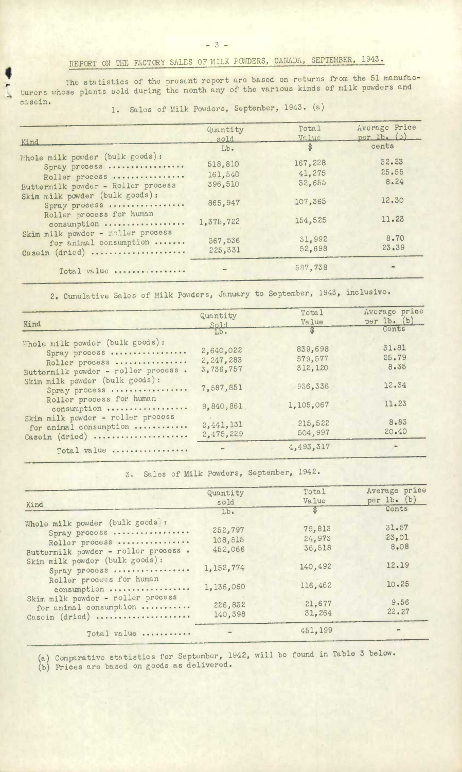## REPORT ON THE FACTORY SALES OF MILK POUDERS, CANADA, SEPTEMBER, 1943.

The statistics of the present report are based on returns from the 51 manufacturers whose plants sold during the month any of the various kinds of milk powders and cascin.

 $-3-$ 

1. Sales of Milk Powders, September, 1943. (a)

| Kind                                                                                                     | Quantity<br>sold              | Total<br>Value              | Average Price<br>per $1b.$ (b) |
|----------------------------------------------------------------------------------------------------------|-------------------------------|-----------------------------|--------------------------------|
|                                                                                                          | Lb.                           | $\circledast$               | cents                          |
| Whole milk powder (bulk goods):<br>Spray process<br>Roller process<br>Buttermilk powder - Roller process | 518,810<br>161,540<br>396,510 | 167,228<br>41,275<br>32,655 | 32.23<br>25.55<br>8.24         |
| Skim milk powder (bulk goods):<br>Spray process                                                          | 865,947                       | 107.365                     | 12.30                          |
| Roller process for human<br>consumption                                                                  | 1,375,722                     | 154,525                     | 11.23                          |
| Skim milk powder - roller process<br>for animal consumption<br>Casein (dried)                            | 367,536<br>225,331            | 31,992<br>52,698            | 8.70<br>23.39                  |
| Total value                                                                                              |                               | 587,738                     |                                |

2. Cumulative Sales of Milk Powders, January to September, 1943, inclusive.

| Kind                                                                                                      | Quantity<br>Sold                    | Total<br>Value                | Average price<br>per 1b. (b) |
|-----------------------------------------------------------------------------------------------------------|-------------------------------------|-------------------------------|------------------------------|
|                                                                                                           | $Lb$ .                              | $\mathbf{\Re}$                | Conts                        |
| Whole milk powder (bulk goods):<br>Spray process<br>Roller process<br>Buttermilk powder - roller process. | 2,640,022<br>2,247,283<br>3,736,757 | 839,698<br>579,577<br>312,120 | 31.81<br>25.79<br>8.35       |
| Skim milk powder (bulk goods):<br>Spray process                                                           | 7,587,851                           | 936,336                       | 12.34                        |
| Roller process for human<br>consumption                                                                   | 9,840,861                           | 1,105,067                     | 11.23                        |
| Skim milk powder - roller process<br>for animal consumption<br>Casoin (dried)                             | 2,441,131<br>2,475,229              | 215,522<br>504,997            | 8.83<br>20.40                |
| Total value                                                                                               |                                     | 4,493,317                     |                              |

3. Sales of Milk Powders, September, 1942.

| Kind                                                                                                                                         | Quantity<br>sold              | Total<br>Value             | Average price<br>per $lb.$ (b) |
|----------------------------------------------------------------------------------------------------------------------------------------------|-------------------------------|----------------------------|--------------------------------|
|                                                                                                                                              | $Lb$ .                        | ₩                          | Cents                          |
| Whole milk powder (bulk goods) :<br>Spray process<br>Roller process<br>Buttermilk powder - roller process.<br>Skim milk powder (bulk goods): | 252,797<br>108,515<br>452.066 | 79,813<br>24,973<br>36,518 | 31.57<br>23,01<br>8.08         |
| Spray process                                                                                                                                | 1,152,774                     | 140,492                    | 12.19                          |
| Roller process for human<br>consumption                                                                                                      | 1,136,060                     | 116,462                    | 10.25                          |
| Skim milk powder - roller process<br>for animal consumption<br>Casein (dried)                                                                | 226,832<br>140.398            | 21,677<br>31,264           | 9.56<br>22.27                  |
| Total value                                                                                                                                  |                               | 451,199                    | -                              |

Comparative statistics for September, 1942, will be found in Table 3 below.

Prices are based on goods as delivered.